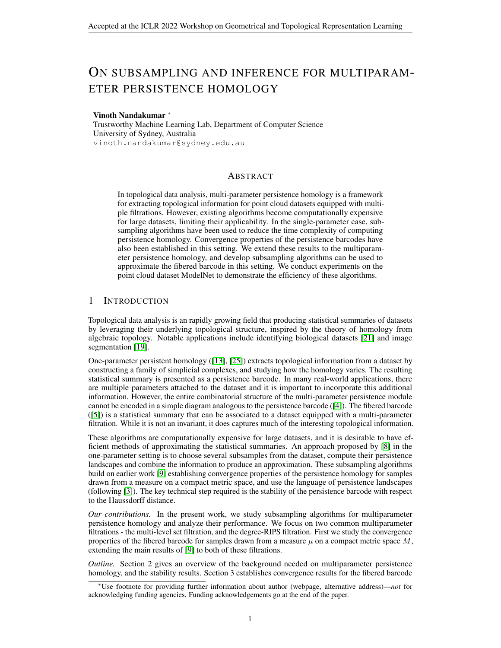# ON SUBSAMPLING AND INFERENCE FOR MULTIPARAM-ETER PERSISTENCE HOMOLOGY

## Vinoth Nandakumar <sup>∗</sup>

Trustworthy Machine Learning Lab, Department of Computer Science University of Sydney, Australia vinoth.nandakumar@sydney.edu.au

# ABSTRACT

In topological data analysis, multi-parameter persistence homology is a framework for extracting topological information for point cloud datasets equipped with multiple filtrations. However, existing algorithms become computationally expensive for large datasets, limiting their applicability. In the single-parameter case, subsampling algorithms have been used to reduce the time complexity of computing persistence homology. Convergence properties of the persistence barcodes have also been established in this setting. We extend these results to the multiparameter persistence homology, and develop subsampling algorithms can be used to approximate the fibered barcode in this setting. We conduct experiments on the point cloud dataset ModelNet to demonstrate the efficiency of these algorithms.

# 1 INTRODUCTION

Topological data analysis is an rapidly growing field that producing statistical summaries of datasets by leveraging their underlying topological structure, inspired by the theory of homology from algebraic topology. Notable applications include identifying biological datasets [\[21\]](#page-5-0) and image segmentation [\[19\]](#page-4-0).

One-parameter persistent homology ([\[13\]](#page-4-1), [\[25\]](#page-5-1)) extracts topological information from a dataset by constructing a family of simplicial complexes, and studying how the homology varies. The resulting statistical summary is presented as a persistence barcode. In many real-world applications, there are multiple parameters attached to the dataset and it is important to incorporate this additional information. However, the entire combinatorial structure of the multi-parameter persistence module cannot be encoded in a simple diagram analogous to the persistence barcode ([\[4\]](#page-4-2)). The fibered barcode ([\[5\]](#page-4-3)) is a statistical summary that can be associated to a dataset equipped with a multi-parameter filtration. While it is not an invariant, it does captures much of the interesting topological information.

These algorithms are computationally expensive for large datasets, and it is desirable to have efficient methods of approximating the statistical summaries. An approach proposed by [\[8\]](#page-4-4) in the one-parameter setting is to choose several subsamples from the dataset, compute their persistence landscapes and combine the information to produce an approximation. These subsampling algorithms build on earlier work [\[9\]](#page-4-5) establishing convergence properties of the persistence homology for samples drawn from a measure on a compact metric space, and use the language of persistence landscapes (following [\[3\]](#page-4-6)). The key technical step required is the stability of the persistence barcode with respect to the Haussdorff distance.

*Our contributions.* In the present work, we study subsampling algorithms for multiparameter persistence homology and analyze their performance. We focus on two common multiparameter filtrations - the multi-level set filtration, and the degree-RIPS filtration. First we study the convergence properties of the fibered barcode for samples drawn from a measure  $\mu$  on a compact metric space M, extending the main results of [\[9\]](#page-4-5) to both of these filtrations.

*Outline.* Section 2 gives an overview of the background needed on multiparameter persistence homology, and the stability results. Section 3 establishes convergence results for the fibered barcode

<sup>∗</sup>Use footnote for providing further information about author (webpage, alternative address)—*not* for acknowledging funding agencies. Funding acknowledgements go at the end of the paper.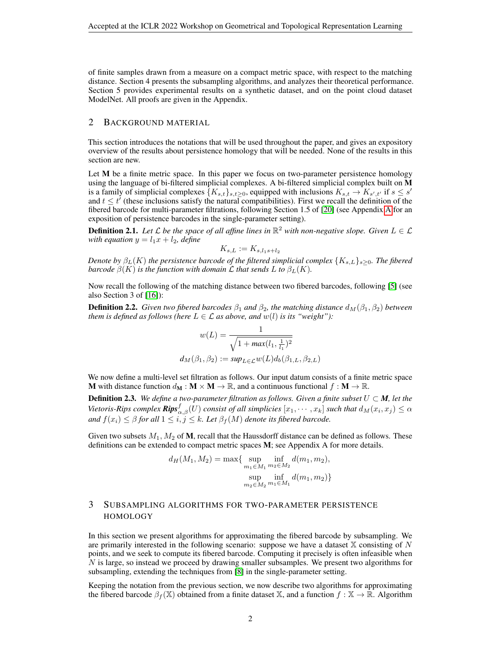of finite samples drawn from a measure on a compact metric space, with respect to the matching distance. Section 4 presents the subsampling algorithms, and analyzes their theoretical performance. Section 5 provides experimental results on a synthetic dataset, and on the point cloud dataset ModelNet. All proofs are given in the Appendix.

# 2 BACKGROUND MATERIAL

This section introduces the notations that will be used throughout the paper, and gives an expository overview of the results about persistence homology that will be needed. None of the results in this section are new.

Let M be a finite metric space. In this paper we focus on two-parameter persistence homology using the language of bi-filtered simplicial complexes. A bi-filtered simplicial complex built on M is a family of simplicial complexes  $\{K_{s,t}\}_{s,t\geq 0}$ , equipped with inclusions  $K_{s,t}\to K_{s',t'}$  if  $s\leq s'$ and  $t \leq t'$  (these inclusions satisfy the natural compatibilities). First we recall the definition of the fibered barcode for multi-parameter filtrations, following Section 1.5 of [\[20\]](#page-4-7) (see Appendix [A](#page-5-2) for an exposition of persistence barcodes in the single-parameter setting).

**Definition 2.1.** Let L be the space of all affine lines in  $\mathbb{R}^2$  with non-negative slope. Given  $L \in \mathcal{L}$ *with equation*  $y = l_1x + l_2$ *, define* 

$$
K_{s,L} := K_{s,l_1s+l_2}
$$

*Denote by*  $\beta_L(K)$  *the persistence barcode of the filtered simplicial complex*  $\{K_{s,L}\}_{s>0}$ *. The fibered barcode*  $\beta(K)$  *is the function with domain*  $\mathcal L$  *that sends*  $L$  *to*  $\beta_L(K)$ *.* 

Now recall the following of the matching distance between two fibered barcodes, following [\[5\]](#page-4-3) (see also Section 3 of [\[16\]](#page-4-8)):

**Definition 2.2.** *Given two fibered barcodes*  $\beta_1$  *and*  $\beta_2$ *, the matching distance*  $d_M(\beta_1, \beta_2)$  *between them is defined as follows (here*  $L \in \mathcal{L}$  *as above, and*  $w(l)$  *is its "weight"):* 

$$
w(L) = \frac{1}{\sqrt{1 + \max(l_1, \frac{1}{l_1})^2}}
$$

$$
d_M(\beta_1, \beta_2) := \sup_{L \in \mathcal{L}} w(L) d_b(\beta_{1,L}, \beta_{2,L})
$$

We now define a multi-level set filtration as follows. Our input datum consists of a finite metric space **M** with distance function  $d_M : M \times M \to \mathbb{R}$ , and a continuous functional  $f : M \to \mathbb{R}$ .

**Definition 2.3.** We define a two-parameter filtration as follows. Given a finite subset  $U \subset M$ , let the Vietoris-Rips complex  $\pmb{Rips}^f_{\alpha,\beta}(U)$  consist of all simplicies  $[x_1,\cdots,x_k]$  such that  $d_M(x_i,x_j)\leq\alpha$ *and*  $f(x_i) \leq \beta$  *for all*  $1 \leq i, j \leq k$ *. Let*  $\beta_f(M)$  *denote its fibered barcode.* 

Given two subsets  $M_1, M_2$  of **M**, recall that the Haussdorff distance can be defined as follows. These definitions can be extended to compact metric spaces M; see Appendix A for more details.

$$
d_H(M_1, M_2) = \max\{\sup_{m_1 \in M_1} \inf_{m_2 \in M_2} d(m_1, m_2),
$$
  
sup 
$$
\sup_{m_2 \in M_2} \inf_{m_1 \in M_1} d(m_1, m_2)\}
$$

# <span id="page-1-0"></span>3 SUBSAMPLING ALGORITHMS FOR TWO-PARAMETER PERSISTENCE HOMOLOGY

In this section we present algorithms for approximating the fibered barcode by subsampling. We are primarily interested in the following scenario: suppose we have a dataset  $X$  consisting of N points, and we seek to compute its fibered barcode. Computing it precisely is often infeasible when  $N$  is large, so instead we proceed by drawing smaller subsamples. We present two algorithms for subsampling, extending the techniques from [\[8\]](#page-4-4) in the single-parameter setting.

Keeping the notation from the previous section, we now describe two algorithms for approximating the fibered barcode  $\beta_f(\mathbb{X})$  obtained from a finite dataset X, and a function  $f : \mathbb{X} \to \mathbb{R}$ . Algorithm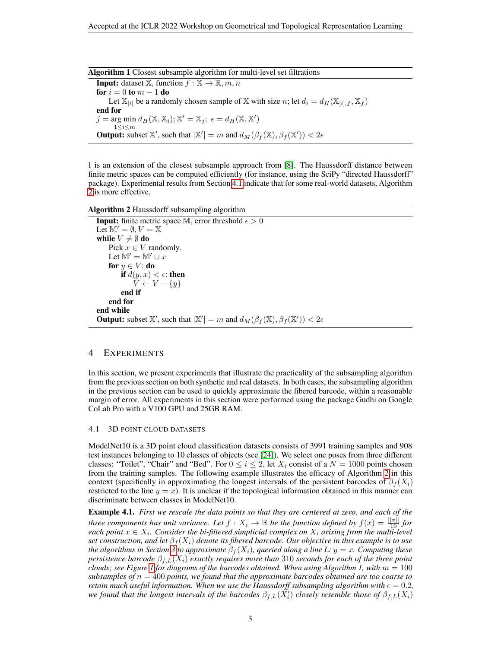|  | Algorithm 1 Closest subsample algorithm for multi-level set filtrations |
|--|-------------------------------------------------------------------------|
|--|-------------------------------------------------------------------------|

**Input:** dataset  $\mathbb{X}$ , function  $f : \mathbb{X} \to \mathbb{R}$ ,  $m, n$ for  $i = 0$  to  $m - 1$  do Let  $\mathbb{X}_{[i]}$  be a randomly chosen sample of X with size n; let  $d_i = d_H(\mathbb{X}_{[i],f}, \mathbb{X}_f)$ end for  $j = \arg \min d_H(\mathbb{X}, \mathbb{X}_i); \mathbb{X}' = \mathbb{X}_j; \ \epsilon = d_H(\mathbb{X}, \mathbb{X}')$  $1\leq i\leq m$ **Output:** subset X', such that  $|\mathbb{X}'| = m$  and  $d_M(\beta_f(\mathbb{X}), \beta_f(\mathbb{X}')) < 2\epsilon$ 

1 is an extension of the closest subsample approach from [\[8\]](#page-4-4). The Haussdorff distance between finite metric spaces can be computed efficiently (for instance, using the SciPy "directed Haussdorff" package). Experimental results from Section [4.1](#page-2-0) indicate that for some real-world datasets, Algorithm [2](#page-2-1) is more effective.

Algorithm 2 Haussdorff subsampling algorithm

```
Input: finite metric space M, error threshold \epsilon > 0Let \mathbb{M}' = \emptyset, V = \mathbb{X}while V \neq \emptyset do
     Pick x \in V randomly.
     Let \mathbb{M}' = \mathbb{M}' \cup xfor y \in V: do
          if d(y, x) < \epsilon: then
               V \leftarrow V - \{y\}end if
     end for
end while
Output: subset \mathbb{X}', such that |\mathbb{X}'| = m and d_M(\beta_f(\mathbb{X}), \beta_f(\mathbb{X}')) < 2\epsilon
```
## 4 EXPERIMENTS

In this section, we present experiments that illustrate the practicality of the subsampling algorithm from the previous section on both synthetic and real datasets. In both cases, the subsampling algorithm in the previous section can be used to quickly approximate the fibered barcode, within a reasonable margin of error. All experiments in this section were performed using the package Gudhi on Google CoLab Pro with a V100 GPU and 25GB RAM.

#### <span id="page-2-0"></span>4.1 3D POINT CLOUD DATASETS

ModelNet10 is a 3D point cloud classification datasets consists of 3991 training samples and 908 test instances belonging to 10 classes of objects (see [\[24\]](#page-5-3)). We select one poses from three different classes: "Toilet", "Chair" and "Bed". For  $0 \le i \le 2$ , let  $X_i$  consist of a  $N = 1000$  points chosen from the training samples. The following example illustrates the efficacy of Algorithm [2](#page-2-1) in this context (specifically in approximating the longest intervals of the persistent barcodes of  $\beta_f(X_i)$ ) restricted to the line  $y = x$ ). It is unclear if the topological information obtained in this manner can discriminate between classes in ModelNet10.

Example 4.1. *First we rescale the data points so that they are centered at zero, and each of the three components has unit variance. Let*  $f: X_i \to \mathbb{R}$  *be the function defined by*  $f(x) = \frac{||x||}{10}$  *for*  $e$ ach point  $x \in X_i$ . Consider the bi-filtered simplicial complex on  $X_i$  arising from the multi-level *set construction, and let*  $\beta_f(X_i)$  *denote its fibered barcode. Our objective in this example is to use the algorithms in Section* [3](#page-1-0)*<sup><i>to approximate*  $\beta_f(X_i)$ *, queried along a line L:*  $y = x$ *. Computing these*</sup> *persistence barcode* βf,L(Xi) *exactly requires more than* 310 *seconds for each of the three point clouds; see Figure [1](#page-3-0) for diagrams of the barcodes obtained. When using Algorithm 1, with* m = 100 *subsamples of*  $n = 400$  *points, we found that the approximate barcodes obtained are too coarse to retain much useful information. When we use the Haussdorff subsampling algorithm with*  $\epsilon = 0.2$ , we found that the longest intervals of the barcodes  $\beta_{f,L}(\tilde{X_i'})$  closely resemble those of  $\beta_{f,L}(X_i)$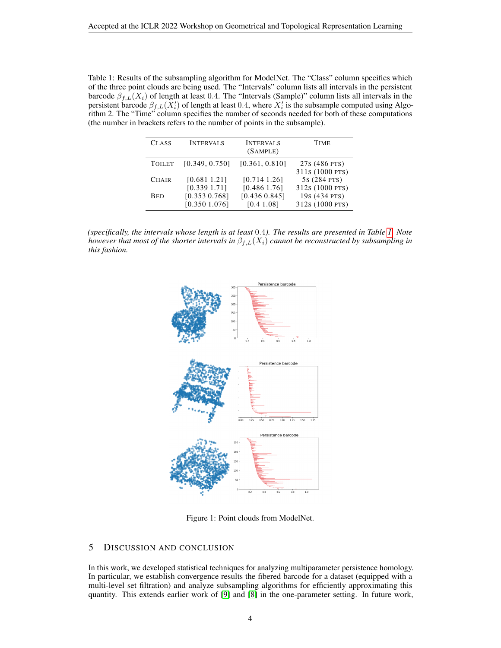<span id="page-3-1"></span>Table 1: Results of the subsampling algorithm for ModelNet. The "Class" column specifies which of the three point clouds are being used. The "Intervals" column lists all intervals in the persistent barcode  $\beta_{f,L}(X_i)$  of length at least 0.4. The "Intervals (Sample)" column lists all intervals in the persistent barcode  $\beta_{f,L}(X_i')$  of length at least 0.4, where  $X_i'$  is the subsample computed using Algorithm 2. The "Time" column specifies the number of seconds needed for both of these computations (the number in brackets refers to the number of points in the subsample).

| <b>CLASS</b>  | <b>INTERVALS</b> | <b>INTERVALS</b><br>(SAMPLE) | <b>TIME</b>                      |
|---------------|------------------|------------------------------|----------------------------------|
| <b>TOILET</b> | [0.349, 0.750]   | [0.361, 0.810]               | 27s (486 PTS)<br>311s (1000 PTS) |
| <b>CHAIR</b>  | [0.6811.21]      | [0.7141.26]                  | 5s (284 PTS)                     |
|               | [0.3391.71]      | [0.486 1.76]                 | 312s (1000 PTS)                  |
| <b>BED</b>    | [0.353 0.768]    | [0.436 0.845]                | 19s (434 PTS)                    |
|               | [0.3501.076]     | [0.4 1.08]                   | 312s (1000 PTS)                  |

*(specifically, the intervals whose length is at least* 0.4*). The results are presented in Table [1.](#page-3-1) Note however that most of the shorter intervals in*  $\beta_{f,L}(X_i)$  *cannot be reconstructed by subsampling in this fashion.*



Figure 1: Point clouds from ModelNet.

# <span id="page-3-0"></span>5 DISCUSSION AND CONCLUSION

In this work, we developed statistical techniques for analyzing multiparameter persistence homology. In particular, we establish convergence results the fibered barcode for a dataset (equipped with a multi-level set filtration) and analyze subsampling algorithms for efficiently approximating this quantity. This extends earlier work of [\[9\]](#page-4-5) and [\[8\]](#page-4-4) in the one-parameter setting. In future work,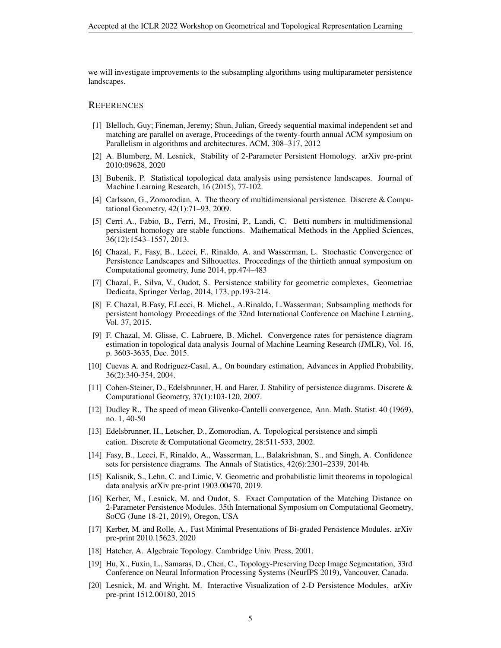we will investigate improvements to the subsampling algorithms using multiparameter persistence landscapes.

## **REFERENCES**

- [1] Blelloch, Guy; Fineman, Jeremy; Shun, Julian, Greedy sequential maximal independent set and matching are parallel on average, Proceedings of the twenty-fourth annual ACM symposium on Parallelism in algorithms and architectures. ACM, 308–317, 2012
- [2] A. Blumberg, M. Lesnick, Stability of 2-Parameter Persistent Homology. arXiv pre-print 2010:09628, 2020
- <span id="page-4-6"></span>[3] Bubenik, P. Statistical topological data analysis using persistence landscapes. Journal of Machine Learning Research, 16 (2015), 77-102.
- <span id="page-4-2"></span>[4] Carlsson, G., Zomorodian, A. The theory of multidimensional persistence. Discrete & Computational Geometry, 42(1):71–93, 2009.
- <span id="page-4-3"></span>[5] Cerri A., Fabio, B., Ferri, M., Frosini, P., Landi, C. Betti numbers in multidimensional persistent homology are stable functions. Mathematical Methods in the Applied Sciences, 36(12):1543–1557, 2013.
- [6] Chazal, F., Fasy, B., Lecci, F., Rinaldo, A. and Wasserman, L. Stochastic Convergence of Persistence Landscapes and Silhouettes. Proceedings of the thirtieth annual symposium on Computational geometry, June 2014, pp.474–483
- <span id="page-4-9"></span>[7] Chazal, F., Silva, V., Oudot, S. Persistence stability for geometric complexes, Geometriae Dedicata, Springer Verlag, 2014, 173, pp.193-214.
- <span id="page-4-4"></span>[8] F. Chazal, B.Fasy, F.Lecci, B. Michel., A.Rinaldo, L.Wasserman; Subsampling methods for persistent homology Proceedings of the 32nd International Conference on Machine Learning, Vol. 37, 2015.
- <span id="page-4-5"></span>[9] F. Chazal, M. Glisse, C. Labruere, B. Michel. Convergence rates for persistence diagram estimation in topological data analysis Journal of Machine Learning Research (JMLR), Vol. 16, p. 3603-3635, Dec. 2015.
- [10] Cuevas A. and Rodriguez-Casal, A., On boundary estimation, Advances in Applied Probability, 36(2):340-354, 2004.
- <span id="page-4-11"></span>[11] Cohen-Steiner, D., Edelsbrunner, H. and Harer, J. Stability of persistence diagrams. Discrete & Computational Geometry, 37(1):103-120, 2007.
- [12] Dudley R., The speed of mean Glivenko-Cantelli convergence, Ann. Math. Statist. 40 (1969), no. 1, 40-50
- <span id="page-4-1"></span>[13] Edelsbrunner, H., Letscher, D., Zomorodian, A. Topological persistence and simpli cation. Discrete & Computational Geometry, 28:511-533, 2002.
- [14] Fasy, B., Lecci, F., Rinaldo, A., Wasserman, L., Balakrishnan, S., and Singh, A. Confidence sets for persistence diagrams. The Annals of Statistics, 42(6):2301–2339, 2014b.
- <span id="page-4-12"></span>[15] Kalisnik, S., Lehn, C. and Limic, V. Geometric and probabilistic limit theorems in topological data analysis arXiv pre-print 1903.00470, 2019.
- <span id="page-4-8"></span>[16] Kerber, M., Lesnick, M. and Oudot, S. Exact Computation of the Matching Distance on 2-Parameter Persistence Modules. 35th International Symposium on Computational Geometry, SoCG (June 18-21, 2019), Oregon, USA
- [17] Kerber, M. and Rolle, A., Fast Minimal Presentations of Bi-graded Persistence Modules. arXiv pre-print 2010.15623, 2020
- <span id="page-4-10"></span>[18] Hatcher, A. Algebraic Topology. Cambridge Univ. Press, 2001.
- <span id="page-4-0"></span>[19] Hu, X., Fuxin, L., Samaras, D., Chen, C., Topology-Preserving Deep Image Segmentation, 33rd Conference on Neural Information Processing Systems (NeurIPS 2019), Vancouver, Canada.
- <span id="page-4-7"></span>[20] Lesnick, M. and Wright, M. Interactive Visualization of 2-D Persistence Modules. arXiv pre-print 1512.00180, 2015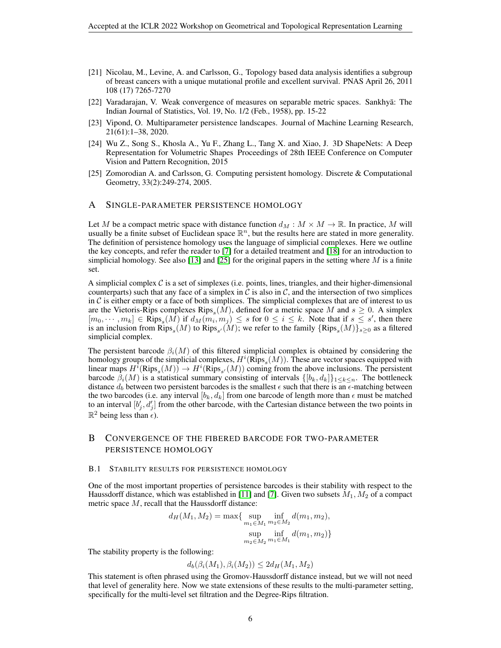- <span id="page-5-0"></span>[21] Nicolau, M., Levine, A. and Carlsson, G., Topology based data analysis identifies a subgroup of breast cancers with a unique mutational profile and excellent survival. PNAS April 26, 2011 108 (17) 7265-7270
- [22] Varadarajan, V. Weak convergence of measures on separable metric spaces. Sankhyā: The Indian Journal of Statistics, Vol. 19, No. 1/2 (Feb., 1958), pp. 15-22
- [23] Vipond, O. Multiparameter persistence landscapes. Journal of Machine Learning Research, 21(61):1–38, 2020.
- <span id="page-5-3"></span>[24] Wu Z., Song S., Khosla A., Yu F., Zhang L., Tang X. and Xiao, J. 3D ShapeNets: A Deep Representation for Volumetric Shapes Proceedings of 28th IEEE Conference on Computer Vision and Pattern Recognition, 2015
- <span id="page-5-1"></span>[25] Zomorodian A. and Carlsson, G. Computing persistent homology. Discrete & Computational Geometry, 33(2):249-274, 2005.

## <span id="page-5-2"></span>A SINGLE-PARAMETER PERSISTENCE HOMOLOGY

Let M be a compact metric space with distance function  $d_M : M \times M \to \mathbb{R}$ . In practice, M will usually be a finite subset of Euclidean space  $\mathbb{R}^n$ , but the results here are stated in more generality. The definition of persistence homology uses the language of simplicial complexes. Here we outline the key concepts, and refer the reader to [\[7\]](#page-4-9) for a detailed treatment and [\[18\]](#page-4-10) for an introduction to simplicial homology. See also [\[13\]](#page-4-1) and [\[25\]](#page-5-1) for the original papers in the setting where  $M$  is a finite set.

A simplicial complex  $C$  is a set of simplexes (i.e. points, lines, triangles, and their higher-dimensional counterparts) such that any face of a simplex in  $C$  is also in  $C$ , and the intersection of two simplices in  $C$  is either empty or a face of both simplices. The simplicial complexes that are of interest to us are the Vietoris-Rips complexes  $Rips_s(M)$ , defined for a metric space M and  $s \ge 0$ . A simplex  $[m_0, \dots, m_k] \in \mathbb{R}$ ips<sub>s</sub> $(M)$  if  $d_M(m_i, m_j) \leq s$  for  $0 \leq i \leq k$ . Note that if  $s \leq s'$ , then there is an inclusion from  $Rips_s(M)$  to  $Rips_{s'}(M)$ ; we refer to the family  $\{Rips_s(M)\}_{s\geq 0}$  as a filtered simplicial complex.

The persistent barcode  $\beta_i(M)$  of this filtered simplicial complex is obtained by considering the homology groups of the simplicial complexes,  $H^i(Rips_s(M))$ . These are vector spaces equipped with linear maps  $H^i$ (Rips<sub>s</sub>(M))  $\to H^i$ (Rips<sub>s</sub>/(M)) coming from the above inclusions. The persistent barcode  $\beta_i(M)$  is a statistical summary consisting of intervals  $\{[b_k, d_k]\}_{1 \leq k \leq n}$ . The bottleneck distance  $d_b$  between two persistent barcodes is the smallest  $\epsilon$  such that there is an  $\epsilon$ -matching between the two barcodes (i.e. any interval  $[b_k, d_k]$  from one barcode of length more than  $\epsilon$  must be matched to an interval  $[b'_j, d'_j]$  from the other barcode, with the Cartesian distance between the two points in  $\mathbb{R}^2$  being less than  $\epsilon$ ).

# B CONVERGENCE OF THE FIBERED BARCODE FOR TWO-PARAMETER PERSISTENCE HOMOLOGY

## B.1 STABILITY RESULTS FOR PERSISTENCE HOMOLOGY

One of the most important properties of persistence barcodes is their stability with respect to the Haussdorff distance, which was established in [\[11\]](#page-4-11) and [\[7\]](#page-4-9). Given two subsets  $M_1, M_2$  of a compact metric space  $M$ , recall that the Haussdorff distance:

$$
d_H(M_1, M_2) = \max\{\sup_{m_1 \in M_1} \inf_{m_2 \in M_2} d(m_1, m_2),
$$
  
 
$$
\sup_{m_2 \in M_2} \inf_{m_1 \in M_1} d(m_1, m_2)\}
$$

The stability property is the following:

$$
d_b(\beta_i(M_1), \beta_i(M_2)) \le 2d_H(M_1, M_2)
$$

This statement is often phrased using the Gromov-Haussdorff distance instead, but we will not need that level of generality here. Now we state extensions of these results to the multi-parameter setting, specifically for the multi-level set filtration and the Degree-Rips filtration.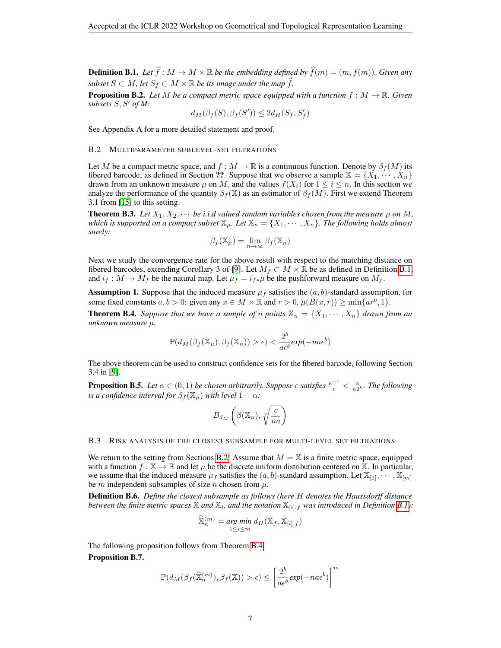<span id="page-6-0"></span>**Definition B.1.** Let  $\widehat{f}: M \to M \times \mathbb{R}$  be the embedding defined by  $\widehat{f}(m) = (m, f(m))$ . Given any *subset*  $S \subset M$ , let  $S_f \subset M \times \mathbb{R}$  *be its image under the map*  $\widehat{f}$ *.* 

<span id="page-6-4"></span>**Proposition B.2.** Let M be a compact metric space equipped with a function  $f : M \to \mathbb{R}$ . Given *subsets*  $S, S'$  *of M:* 

$$
d_M(\beta_f(S), \beta_f(S')) \leq 2d_H(S_f, S_f')
$$

See Appendix A for a more detailed statement and proof.

### <span id="page-6-1"></span>B.2 MULTIPARAMETER SUBLEVEL-SET FILTRATIONS

Let M be a compact metric space, and  $f : M \to \mathbb{R}$  is a continuous function. Denote by  $\beta_f(M)$  its fibered barcode, as defined in Section ??. Suppose that we observe a sample  $X = \{X_1, \dots, X_n\}$ drawn from an unknown measure  $\mu$  on M, and the values  $f(X_i)$  for  $1 \leq i \leq n$ . In this section we analyze the performance of the quantity  $\beta_f(\mathbb{X})$  as an estimator of  $\beta_f(M)$ . First we extend Theorem 3.1 from [\[15\]](#page-4-12) to this setting.

<span id="page-6-3"></span>**Theorem B.3.** Let  $X_1, X_2, \cdots$  be i.i.d valued random variables chosen from the measure  $\mu$  on M, *which is supported on a compact subset*  $\mathbb{X}_{\mu}$ *. Let*  $\mathbb{X}_{n} = \{X_1, \cdots, X_n\}$ *. The following holds almost surely:*

$$
\beta_f(\mathbb{X}_{\mu}) = \lim_{n \to \infty} \beta_f(\mathbb{X}_n)
$$

Next we study the convergence rate for the above result with respect to the matching distance on fibered barcodes, extending Corollary 3 of [\[9\]](#page-4-5). Let  $M_f \subset M \times \mathbb{R}$  be as defined in Definition [B.1,](#page-6-0) and  $i_f : M \to M_f$  be the natural map. Let  $\mu_f = i_{f \ast} \mu$  be the pushforward measure on  $M_f$ .

**Assumption 1.** Suppose that the induced measure  $\mu_f$  satisfies the  $(a, b)$ -standard assumption, for some fixed constants  $a, b > 0$ : given any  $x \in M \times \mathbb{R}$  and  $r > 0$ ,  $\mu(B(x, r)) \ge \min\{ar^b, 1\}$ .

<span id="page-6-2"></span>**Theorem B.4.** *Suppose that we have a sample of n points*  $\mathbb{X}_n = \{X_1, \dots, X_n\}$  *drawn from an unknown measure* µ*.*

$$
\mathbb{P}(d_M(\beta_f(\mathbb{X}_{\mu}), \beta_f(\mathbb{X}_{n})) > \epsilon) < \frac{2^b}{a\epsilon^b} \exp(-na\epsilon^b)
$$

The above theorem can be used to construct confidence sets for the fibered barcode, following Section 3.4 in [\[9\]](#page-4-5).

<span id="page-6-5"></span>**Proposition B.5.** Let  $\alpha \in (0,1)$  be chosen arbitrarily. Suppose c satisfies  $\frac{e^{-c}}{c} < \frac{\alpha}{n2^b}$ . The following *is a confidence interval for*  $\beta_f(\mathbb{X}_{\mu})$  *with level*  $1 - \alpha$ *:* 

$$
B_{d_M}\left(\beta(\mathbb{X}_n),\sqrt[b]{\frac{c}{na}}\right)
$$

### B.3 RISK ANALYSIS OF THE CLOSEST SUBSAMPLE FOR MULTI-LEVEL SET FILTRATIONS

We return to the setting from Sections [B.2.](#page-6-1) Assume that  $M = X$  is a finite metric space, equipped with a function  $f : \mathbb{X} \to \mathbb{R}$  and let  $\mu$  be the discrete uniform distribution centered on  $\mathbb{X}$ . In particular, we assume that the induced measure  $\mu_f$  satisfies the  $(a, b)$ -standard assumption. Let  $\mathbb{X}_{[1]}, \cdots, \mathbb{X}_{[m]}$ be m independent subsamples of size n chosen from  $\mu$ .

Definition B.6. *Define the closest subsample as follows (here* H *denotes the Haussdorff distance* between the finite metric spaces  $\mathbb X$  and  $\mathbb X_i$ , and the notation  $\mathbb X_{[i],f}$  was introduced in Definition [B.1\)](#page-6-0):

$$
\widehat{\mathbb{X}}_n^{(m)} = \underset{1 \le i \le m}{\arg min} d_H(\mathbb{X}_f, \mathbb{X}_{[i], f})
$$

<span id="page-6-6"></span>The following proposition follows from Theorem [B.4.](#page-6-2) Proposition B.7.

$$
\mathbb{P}(d_M(\beta_f(\widehat{\mathbb{X}}_n^{(m)}), \beta_f(\mathbb{X})) > \epsilon) \le \left[\frac{2^b}{a\epsilon^b}exp(-na\epsilon^b)\right]^m
$$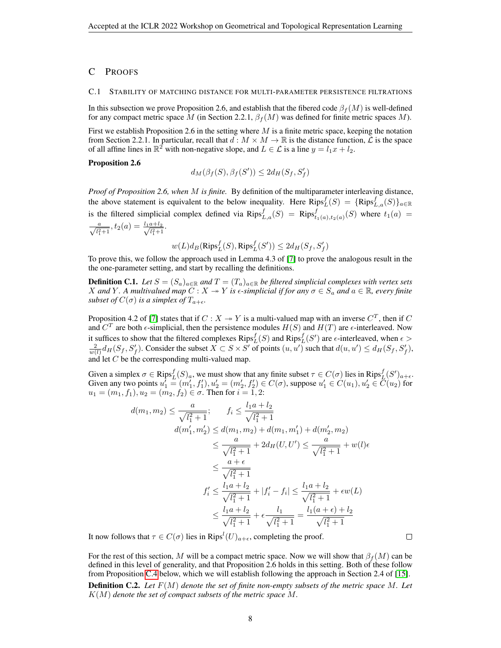# C PROOFS

#### C.1 STABILITY OF MATCHING DISTANCE FOR MULTI-PARAMETER PERSISTENCE FILTRATIONS

In this subsection we prove Proposition 2.6, and establish that the fibered code  $\beta_f(M)$  is well-defined for any compact metric space M (in Section 2.2.1,  $\beta_f(M)$  was defined for finite metric spaces M).

First we establish Proposition 2.6 in the setting where  $M$  is a finite metric space, keeping the notation from Section 2.2.1. In particular, recall that  $d : M \times M \to \mathbb{R}$  is the distance function,  $\mathcal{L}$  is the space of all affine lines in  $\mathbb{R}^2$  with non-negative slope, and  $L \in \mathcal{L}$  is a line  $y = l_1x + l_2$ .

## Proposition 2.6

$$
d_M(\beta_f(S), \beta_f(S')) \le 2d_H(S_f, S'_f)
$$

*Proof of Proposition 2.6, when* M *is finite.* By definition of the multiparameter interleaving distance, the above statement is equivalent to the below inequality. Here  $Rips_L^f(S) = \{Rips_{L,a}^f(S)\}_{a \in \mathbb{R}}$ is the filtered simplicial complex defined via  $Rips_{L,a}^f(S) = Rips_{t_1(a),t_2(a)}^f(S)$  where  $t_1(a) =$  $\frac{a}{\sqrt{l_1^2+1}}, t_2(a) = \frac{l_1a+l_2}{\sqrt{l_1^2+1}}$  $\frac{a+1}{l_1^2+1}$ .

$$
w(L)d_B(\mathrm{Rips}^f_L(S),\mathrm{Rips}^f_L(S'))\leq 2d_H(S_f,S'_f)
$$

To prove this, we follow the approach used in Lemma 4.3 of [\[7\]](#page-4-9) to prove the analogous result in the the one-parameter setting, and start by recalling the definitions.

**Definition C.1.** Let  $S = (S_a)_{a \in \mathbb{R}}$  and  $T = (T_a)_{a \in \mathbb{R}}$  be filtered simplicial complexes with vertex sets X and Y. A multivalued map  $\overline{C}$  :  $X \to Y$  is  $\epsilon$ -simplicial if for any  $\sigma \in S_a$  and  $a \in \mathbb{R}$ , every finite *subset of*  $C(\sigma)$  *is a simplex of*  $T_{a+\epsilon}$ *.* 

Proposition 4.2 of [\[7\]](#page-4-9) states that if  $C : X \rightarrow Y$  is a multi-valued map with an inverse  $C<sup>T</sup>$ , then if C and  $C<sup>T</sup>$  are both  $\epsilon$ -simplicial, then the persistence modules  $H(S)$  and  $H(T)$  are  $\epsilon$ -interleaved. Now it suffices to show that the filtered complexes  $Rips_L^f(S)$  and  $Rips_L^f(S')$  are  $\epsilon$ -interleaved, when  $\epsilon$  >  $\frac{2}{w(l)}d_H(S_f, S'_f)$ . Consider the subset  $X \subset S \times S'$  of points  $(u, u')$  such that  $d(u, u') \leq d_H(S_f, S'_f)$ , and let C be the corresponding multi-valued map.

Given a simplex  $\sigma \in \text{Rips}_{L}^{f}(S)_{a}$ , we must show that any finite subset  $\tau \in C(\sigma)$  lies in  $\text{Rips}_{L}^{f}(S')_{a+\epsilon}$ . Given any two points  $u'_1 = (m'_1, f'_1), u'_2 = (m'_2, f'_2) \in C(\sigma)$ , suppose  $u'_1 \in C(u_1), u'_2 \in C(u_2)$  for  $u_1 = (m_1, f_1), u_2 = (m_2, f_2) \in \sigma$ . Then for  $i = 1, 2$ :

$$
d(m_1, m_2) \le \frac{a}{\sqrt{l_1^2 + 1}}; \qquad f_i \le \frac{l_1 a + l_2}{\sqrt{l_1^2 + 1}}
$$
  

$$
d(m'_1, m'_2) \le d(m_1, m_2) + d(m_1, m'_1) + d(m'_2, m_2)
$$
  

$$
\le \frac{a}{\sqrt{l_1^2 + 1}} + 2d_H(U, U') \le \frac{a}{\sqrt{l_1^2 + 1}} + w(l)\epsilon
$$
  

$$
\le \frac{a + \epsilon}{\sqrt{l_1^2 + 1}}
$$
  

$$
f'_i \le \frac{l_1 a + l_2}{\sqrt{l_1^2 + 1}} + |f'_i - f_i| \le \frac{l_1 a + l_2}{\sqrt{l_1^2 + 1}} + \epsilon w(L)
$$
  

$$
\le \frac{l_1 a + l_2}{\sqrt{l_1^2 + 1}} + \epsilon \frac{l_1}{\sqrt{l_1^2 + 1}} = \frac{l_1(a + \epsilon) + l_2}{\sqrt{l_1^2 + 1}}
$$

It now follows that  $\tau \in C(\sigma)$  lies in  $Rips<sup>l</sup>(U)_{a+\epsilon}$ , completing the proof.

For the rest of this section, M will be a compact metric space. Now we will show that  $\beta_f(M)$  can be defined in this level of generality, and that Proposition 2.6 holds in this setting. Both of these follow from Proposition [C.4](#page-8-0) below, which we will establish following the approach in Section 2.4 of [\[15\]](#page-4-12).

 $\Box$ 

Definition C.2. *Let* F(M) *denote the set of finite non-empty subsets of the metric space* M*. Let* K(M) *denote the set of compact subsets of the metric space* M*.*